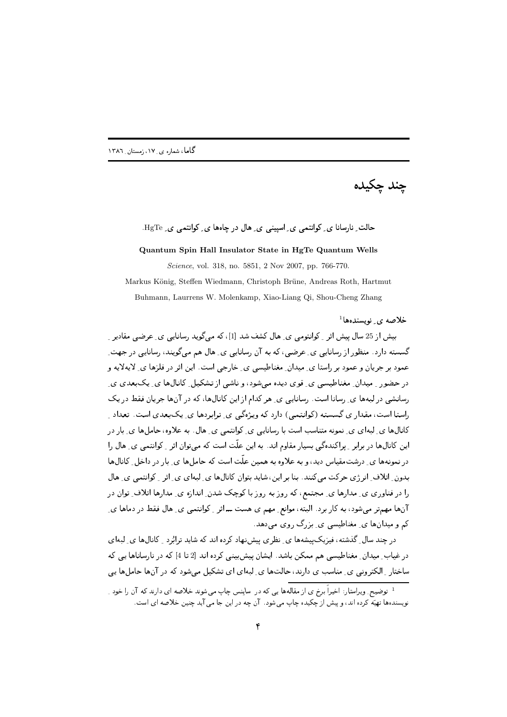چند چکيده

## حالت ِ نارسانا ی ِ کوانتمی ی ِ اسپینی ی ِ هال در چاهها ی ِ کوانتمی ی HgTe .

## Quantum Spin Hall Insulator State in HgTe Quantum Wells

Science, vol. 318, no. 5851, 2 Nov 2007, pp. 766-770.

Markus König, Steffen Wiedmann, Christoph Brüne, Andreas Roth, Hartmut

Buhmann, Laurrens W. Molenkamp, Xiao-Liang Qi, Shou-Cheng Zhang

 $^1$ خلاصه $_2$  نویسندهها

بیش از 25 سال بیش اثر - کوانتومی ی- هال کشف شد. [1] ، که می گوید رسانایی ی- عرضی مقادیر گسسته دارد. منظور از رسانایی ی ِ عرضی، که به آن رسانایی ی ِ هال هم میگویند، رسانایی در جهت ِ عمود بر جریان و عمود بر راستا ی ِ میدان ِ مغناطیسی ی ِ خارجی است. این اثر در فلزها ی ِ لایهلایه و در حضور \_ میدان ِ مغناطیسی ی ِ قوی دیده می شود، و ناشی از تشکیل ِ کانالها ی ِ یک بعدی ی رسانشی در لبهها ی ِ رسانا است. رسانایی ی ِ هر کدام از این کانالها، که در آنها جریان فقط در یک راستا است، مقدار ی گسسته (کوانتمی) دارد که ویژهگی ی ترابردها ی پک بعدی است. تعداد به کانالها ی ِ لبهای ی ِ نمونه متناسب است با رسانایی ی ِ کوانتمی ی ِ هال ِ به علاوه، حاملها ی ِ بار در این کانال۱ها در برابر ۱ براکنده گی بسیار مقاوم اند. به این علّت است که می توان اثر ۱ کوانتمی ی هال را در نمونهها ی ِ درشت،مقیاس دید، و به علاوه به همین علّت است که حاملها ی ِ بار در داخل ِ کانالها بدون ِ اتلاف ِ انر ژی حرکت می کنند. بنا بر این، شاید بتوان کانالها ی ِ لبهای ی ِ اثر ِ کوانتمی ی ِ هال را در فناوری ی ِ مدارها ی ِ مجتمع، که روز به روز با کوچک شدن ِ اندازه ی ِ مدارها اتلاف ِ توان در آنها مهمتر میشود، به کار برد. البته، موانع ِ مهم ی هست ــ اثر ِ کوانتمی ی ِ هال فقط در دماها ی ِ کم و میدانها ی مغناطیسی ی بزرگ روی می دهد.

در چند سال ِ گذشته ، فیزیک پیشهها ی ِ نظری پیش نهاد کرده اند که شاید ترابُرد ِ کانالها ی ِ لبهای در غیاب ِ میدان ِ مغناطیسی هم ممکن باشد. ایشان پیش بینی کرده اند [2 تا 4] که در نارساناها یی که ساختار ِ الکترونی ی ِ مناسب ی دارند، حالتها ی ِ لبهای ای تشکیل می شود که در آنها حاملها یی

<sup>&</sup>lt;sup>1</sup> توضیح ِ ویراستار: اخیراً برخ ی از مقالهها یبی که در ساینس چاپ می شوند خلاصه ای دارند که آن را خود ِ نویسندهها تهیّه کرده اند، و پیش از جِکیده چاپ میشود. آن چه در این جا می آید چنین خلاصه ای است.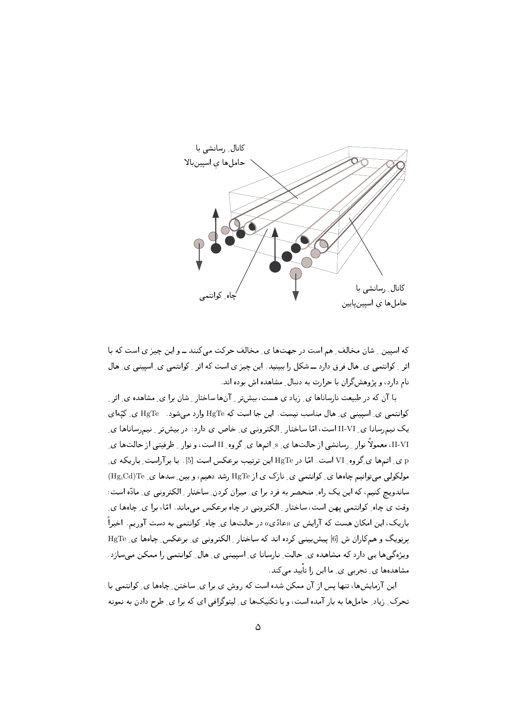

که اسپین په شان مخالف ِ هم است در جهتها ی ِ مخالف حرکت می کنند ــ و این چیز ی است که با اثر ِ کوانتمی ی ِ هال فرق دارد ــ شکل را ببینید. این چیز ی است که اثر ِ کوانتمی ی ِ اسپینی ی ِ هال نام دارد، و پژوهش گران با حرارت به دنبال ِ مشاهده اش بوده اند.

یا آن که در طبیعت نارساناها ی نیاد ی هست، بیش تر به آنها ساختار به شان برا ی مشاهده ی اثر ب کوانتمبی ی ِ اسپینبی ی ِ هال مناسب نیست. این جا است که HgTe وارد میشود. HgTe ی ِ کیّهای یک نیمرسانا ی II-VI است، امّا ساختار ِ الکترونی ی ِ خاص ی دارد: در بیشتر ِ نیمرساناها ی ِ II-VI، معمولاً نوار ِ رِسانشی از حالتها ی ِ s ِ اتمها ی ِ گروه ِ II است، و نوار ِ ظرفیتی از حالتها ی ِ p ی ِ اتمهها ی ِگروه ِ VI است. امّا در HgTe این ترتیب برعکس است [5]. با برآراست ِ باریکه ی ِ مولکولی میتوانیم چاهها ی ِ کوانتمی ی ِ نازک ی از HgTe رشد دهیم، و بین ِ سدها ی ِ Hg,Cd)Te( ساندویچ کنیم، که این یک راه ِ منحصر به فرد برا ی ِ میزان کردن ِ ساختار ِ الکترونی ی ِ مادّه است: وقت ی چاه ِ کوانتمی یهن است، ساختار ِ الکترونی در چاه برعکس میماند. امّا، برا ی ِ چاهها ی ِ باریک، این امکان هست که آرایش ی «عادّی» در حالتها ی ِ چاه ِ کوانتمی به دست آوریم. اخیراً برنِویگ و همکاران ش [6] پیش بینبی کرده اند که ساختار ِ الکترونبی ی ِ برعکس ِ چاهها ی ِ HgTe ویژهگیها یی دارد که مشاهده ی ِ حالت ِ نارسانا ی ِ اسپینی ی ِ هال ِ کوانتمی را ممکن میسازد. مشاهدهها ی ِ تجربی ی ِ ما این را تأیید می کند.

این آزمایشها، تنها پس از آن ممکن شده است که روش ی برا ی ِ ساختن ِ چاهها ی ِ کوانتمی با تحرک ِ زیاد ِ حامل ها به بار آمده است، و با تکنیکها ی ِ لیتوگرافی ای که برا ی ِ طرح دادن به نمونه